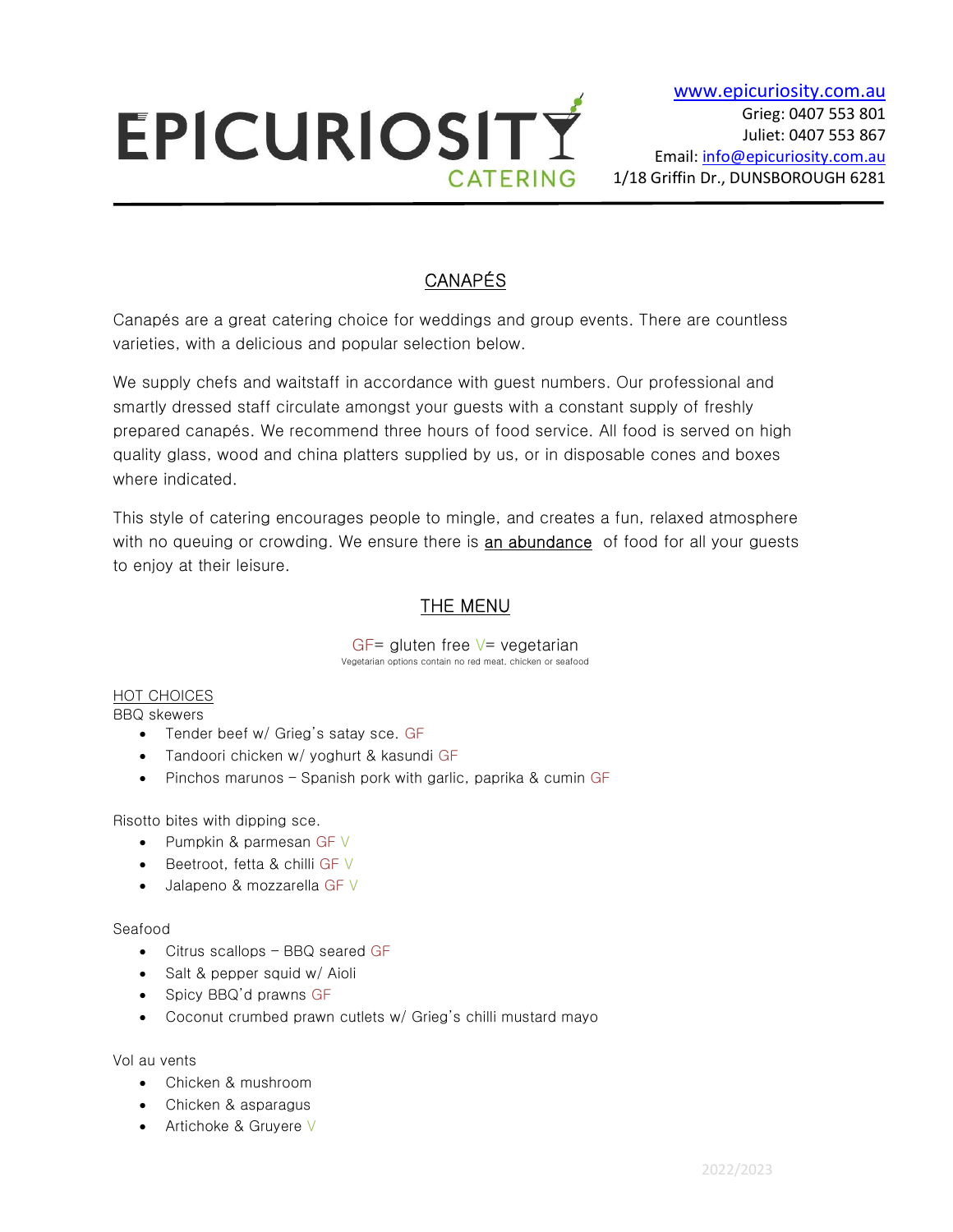

# CANAPÉS

Canapés are a great catering choice for weddings and group events. There are countless varieties, with a delicious and popular selection below.

We supply chefs and waitstaff in accordance with guest numbers. Our professional and smartly dressed staff circulate amongst your guests with a constant supply of freshly prepared canapés. We recommend three hours of food service. All food is served on high quality glass, wood and china platters supplied by us, or in disposable cones and boxes where indicated.

This style of catering encourages people to mingle, and creates a fun, relaxed atmosphere with no queuing or crowding. We ensure there is **an abundance** of food for all your guests to enjoy at their leisure.

# THE MENU

GF= gluten free  $V=$  vegetarian Vegetarian options contain no red meat, chicken or seafood

#### HOT CHOICES BBQ skewers

- Tender beef w/ Grieg's satay sce. GF
- Tandoori chicken w/ yoghurt & kasundi GF
- Pinchos marunos Spanish pork with garlic, paprika & cumin GF

Risotto bites with dipping sce.

- Pumpkin & parmesan GF V
- **Beetroot, fetta & chilli GF V**
- Jalapeno & mozzarella GF V

## Seafood

- Citrus scallops BBQ seared GF
- Salt & pepper squid w/ Aioli
- Spicy BBQ'd prawns GF
- Coconut crumbed prawn cutlets w/ Grieg's chilli mustard mayo

## Vol au vents

- Chicken & mushroom
- Chicken & asparagus
- Artichoke & Gruyere V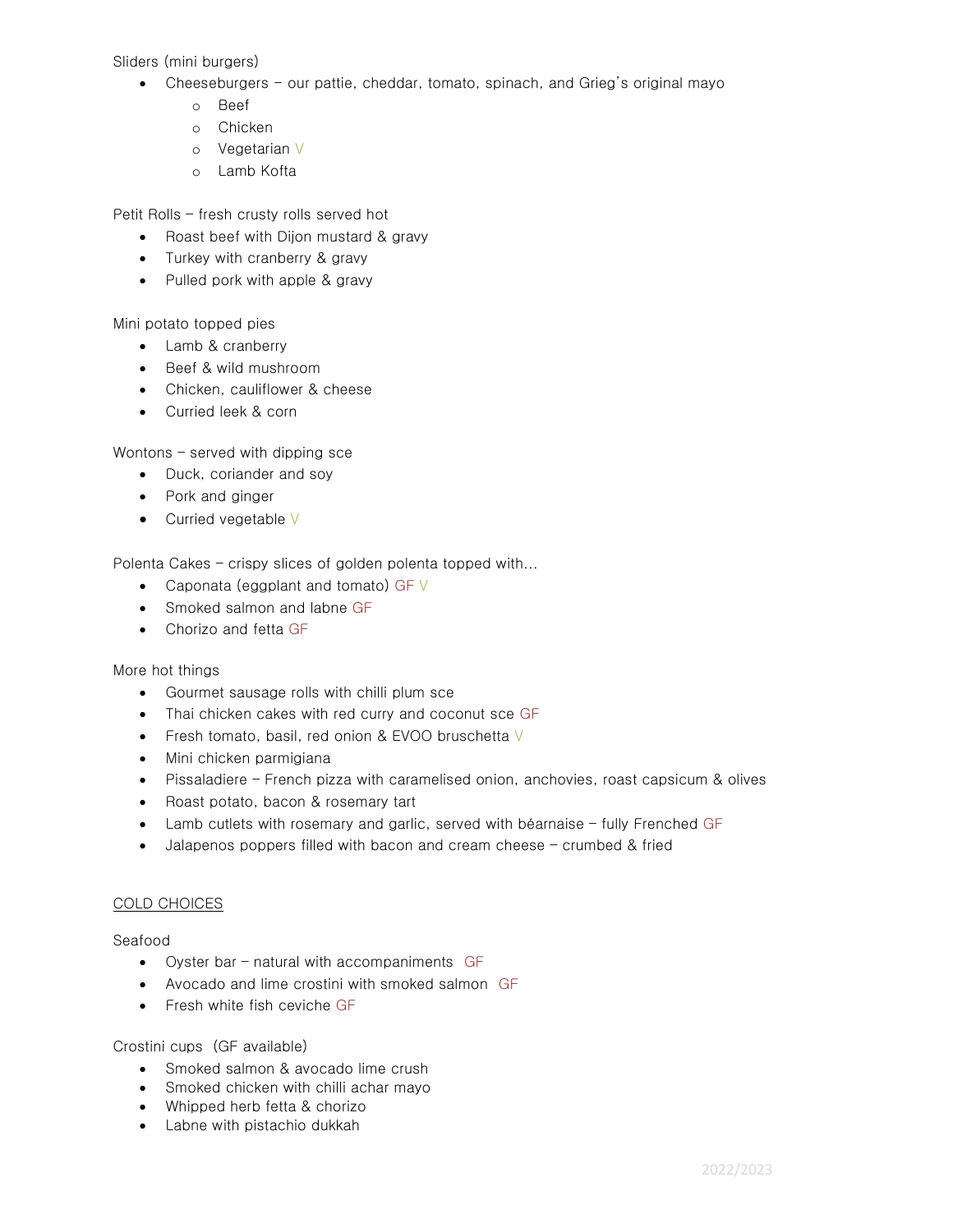Sliders (mini burgers)

- Cheeseburgers our pattie, cheddar, tomato, spinach, and Grieg's original mayo
	- o Beef
	- o Chicken
	- o Vegetarian V
	- o Lamb Kofta

Petit Rolls – fresh crusty rolls served hot

- Roast beef with Dijon mustard & gravy
- Turkey with cranberry & gravy
- Pulled pork with apple & gravy

Mini potato topped pies

- Lamb & cranberry
- Beef & wild mushroom
- Chicken, cauliflower & cheese
- Curried leek & corn

Wontons – served with dipping sce

- Duck, coriander and soy
- Pork and ginger
- Curried vegetable V

Polenta Cakes – crispy slices of golden polenta topped with...

- Caponata (eggplant and tomato) GF  $\vee$
- Smoked salmon and labne GF
- Chorizo and fetta GF

More hot things

- Gourmet sausage rolls with chilli plum sce
- Thai chicken cakes with red curry and coconut sce GF
- Fresh tomato, basil, red onion & EVOO bruschetta V
- Mini chicken parmigiana
- Pissaladiere French pizza with caramelised onion, anchovies, roast capsicum & olives
- Roast potato, bacon & rosemary tart
- Lamb cutlets with rosemary and garlic, served with béarnaise fully Frenched GF
- Jalapenos poppers filled with bacon and cream cheese crumbed & fried

### COLD CHOICES

Seafood

- Oyster bar natural with accompaniments GF
- Avocado and lime crostini with smoked salmon GF
- **Fresh white fish ceviche GF**

### Crostini cups (GF available)

- Smoked salmon & avocado lime crush
- Smoked chicken with chilli achar mayo
- Whipped herb fetta & chorizo
- Labne with pistachio dukkah